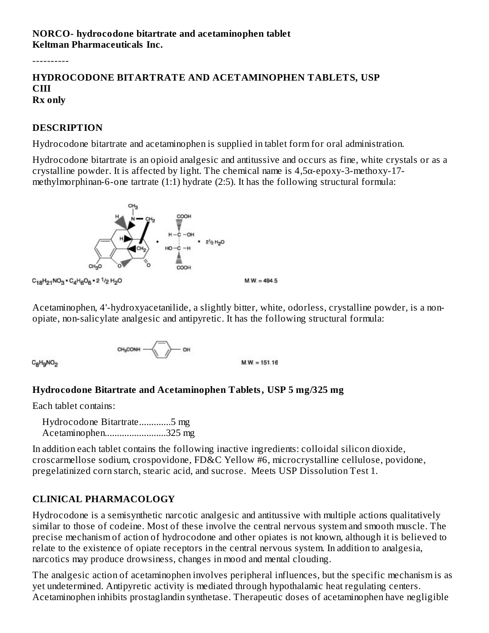#### **NORCO- hydrocodone bitartrate and acetaminophen tablet Keltman Pharmaceuticals Inc.**

----------

#### **HYDROCODONE BITARTRATE AND ACETAMINOPHEN TABLETS, USP CIII Rx only**

#### **DESCRIPTION**

Hydrocodone bitartrate and acetaminophen is supplied in tablet form for oral administration.

Hydrocodone bitartrate is an opioid analgesic and antitussive and occurs as fine, white crystals or as a crystalline powder. It is affected by light. The chemical name is 4,5α-epoxy-3-methoxy-17 methylmorphinan-6-one tartrate (1:1) hydrate (2:5). It has the following structural formula:



C<sub>18</sub>H<sub>21</sub>NO<sub>3</sub> · C<sub>4</sub>H<sub>6</sub>O<sub>6</sub> · 2<sup>1</sup>/<sub>2</sub> H<sub>2</sub>O

Acetaminophen, 4'-hydroxyacetanilide, a slightly bitter, white, odorless, crystalline powder, is a nonopiate, non-salicylate analgesic and antipyretic. It has the following structural formula:



 $M.W. = 151.16$ 

 $M.W. = 494.5$ 

C<sub>R</sub>H<sub>9</sub>NO<sub>2</sub>

### **Hydrocodone Bitartrate and Acetaminophen Tablets, USP 5 mg/325 mg**

Each tablet contains:

Hydrocodone Bitartrate.............5 mg Acetaminophen.........................325 mg

In addition each tablet contains the following inactive ingredients: colloidal silicon dioxide, croscarmellose sodium, crospovidone, FD&C Yellow #6, microcrystalline cellulose, povidone, pregelatinized corn starch, stearic acid, and sucrose. Meets USP Dissolution Test 1.

# **CLINICAL PHARMACOLOGY**

Hydrocodone is a semisynthetic narcotic analgesic and antitussive with multiple actions qualitatively similar to those of codeine. Most of these involve the central nervous system and smooth muscle. The precise mechanism of action of hydrocodone and other opiates is not known, although it is believed to relate to the existence of opiate receptors in the central nervous system. In addition to analgesia, narcotics may produce drowsiness, changes in mood and mental clouding.

The analgesic action of acetaminophen involves peripheral influences, but the specific mechanism is as yet undetermined. Antipyretic activity is mediated through hypothalamic heat regulating centers. Acetaminophen inhibits prostaglandin synthetase. Therapeutic doses of acetaminophen have negligible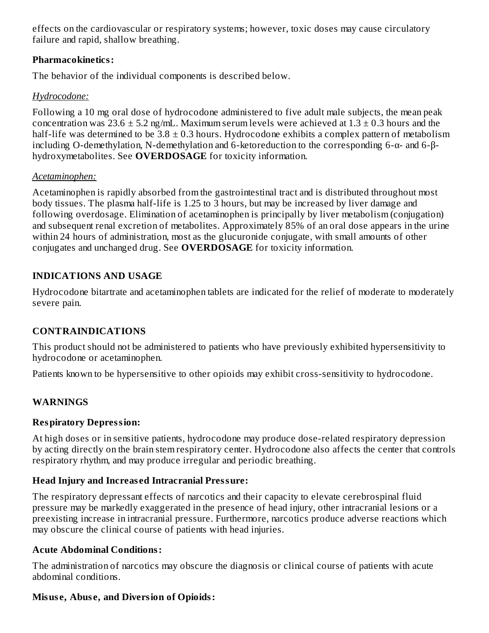effects on the cardiovascular or respiratory systems; however, toxic doses may cause circulatory failure and rapid, shallow breathing.

### **Pharmacokinetics:**

The behavior of the individual components is described below.

# *Hydrocodone:*

Following a 10 mg oral dose of hydrocodone administered to five adult male subjects, the mean peak concentration was  $23.6 \pm 5.2$  ng/mL. Maximum serum levels were achieved at  $1.3 \pm 0.3$  hours and the half-life was determined to be  $3.8 \pm 0.3$  hours. Hydrocodone exhibits a complex pattern of metabolism including O-demethylation, N-demethylation and 6-ketoreduction to the corresponding 6-α- and 6-βhydroxymetabolites. See **OVERDOSAGE** for toxicity information.

# *Acetaminophen:*

Acetaminophen is rapidly absorbed from the gastrointestinal tract and is distributed throughout most body tissues. The plasma half-life is 1.25 to 3 hours, but may be increased by liver damage and following overdosage. Elimination of acetaminophen is principally by liver metabolism (conjugation) and subsequent renal excretion of metabolites. Approximately 85% of an oral dose appears in the urine within 24 hours of administration, most as the glucuronide conjugate, with small amounts of other conjugates and unchanged drug. See **OVERDOSAGE** for toxicity information.

# **INDICATIONS AND USAGE**

Hydrocodone bitartrate and acetaminophen tablets are indicated for the relief of moderate to moderately severe pain.

# **CONTRAINDICATIONS**

This product should not be administered to patients who have previously exhibited hypersensitivity to hydrocodone or acetaminophen.

Patients known to be hypersensitive to other opioids may exhibit cross-sensitivity to hydrocodone.

# **WARNINGS**

# **Respiratory Depression:**

At high doses or in sensitive patients, hydrocodone may produce dose-related respiratory depression by acting directly on the brain stem respiratory center. Hydrocodone also affects the center that controls respiratory rhythm, and may produce irregular and periodic breathing.

# **Head Injury and Increas ed Intracranial Pressure:**

The respiratory depressant effects of narcotics and their capacity to elevate cerebrospinal fluid pressure may be markedly exaggerated in the presence of head injury, other intracranial lesions or a preexisting increase in intracranial pressure. Furthermore, narcotics produce adverse reactions which may obscure the clinical course of patients with head injuries.

# **Acute Abdominal Conditions:**

The administration of narcotics may obscure the diagnosis or clinical course of patients with acute abdominal conditions.

# **Misus e, Abus e, and Diversion of Opioids:**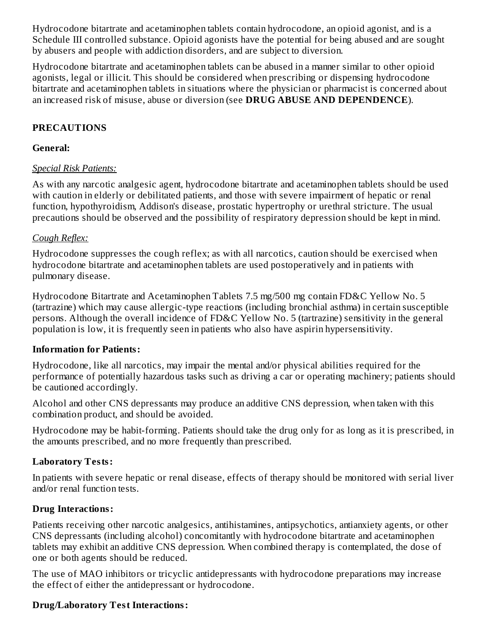Hydrocodone bitartrate and acetaminophen tablets contain hydrocodone, an opioid agonist, and is a Schedule III controlled substance. Opioid agonists have the potential for being abused and are sought by abusers and people with addiction disorders, and are subject to diversion.

Hydrocodone bitartrate and acetaminophen tablets can be abused in a manner similar to other opioid agonists, legal or illicit. This should be considered when prescribing or dispensing hydrocodone bitartrate and acetaminophen tablets in situations where the physician or pharmacist is concerned about an increased risk of misuse, abuse or diversion (see **DRUG ABUSE AND DEPENDENCE**).

### **PRECAUTIONS**

### **General:**

#### *Special Risk Patients:*

As with any narcotic analgesic agent, hydrocodone bitartrate and acetaminophen tablets should be used with caution in elderly or debilitated patients, and those with severe impairment of hepatic or renal function, hypothyroidism, Addison's disease, prostatic hypertrophy or urethral stricture. The usual precautions should be observed and the possibility of respiratory depression should be kept in mind.

#### *Cough Reflex:*

Hydrocodone suppresses the cough reflex; as with all narcotics, caution should be exercised when hydrocodone bitartrate and acetaminophen tablets are used postoperatively and in patients with pulmonary disease.

Hydrocodone Bitartrate and Acetaminophen Tablets 7.5 mg/500 mg contain FD&C Yellow No. 5 (tartrazine) which may cause allergic-type reactions (including bronchial asthma) in certain susceptible persons. Although the overall incidence of FD&C Yellow No. 5 (tartrazine) sensitivity in the general population is low, it is frequently seen in patients who also have aspirin hypersensitivity.

### **Information for Patients:**

Hydrocodone, like all narcotics, may impair the mental and/or physical abilities required for the performance of potentially hazardous tasks such as driving a car or operating machinery; patients should be cautioned accordingly.

Alcohol and other CNS depressants may produce an additive CNS depression, when taken with this combination product, and should be avoided.

Hydrocodone may be habit-forming. Patients should take the drug only for as long as it is prescribed, in the amounts prescribed, and no more frequently than prescribed.

### **Laboratory Tests:**

In patients with severe hepatic or renal disease, effects of therapy should be monitored with serial liver and/or renal function tests.

### **Drug Interactions:**

Patients receiving other narcotic analgesics, antihistamines, antipsychotics, antianxiety agents, or other CNS depressants (including alcohol) concomitantly with hydrocodone bitartrate and acetaminophen tablets may exhibit an additive CNS depression. When combined therapy is contemplated, the dose of one or both agents should be reduced.

The use of MAO inhibitors or tricyclic antidepressants with hydrocodone preparations may increase the effect of either the antidepressant or hydrocodone.

### **Drug/Laboratory Test Interactions:**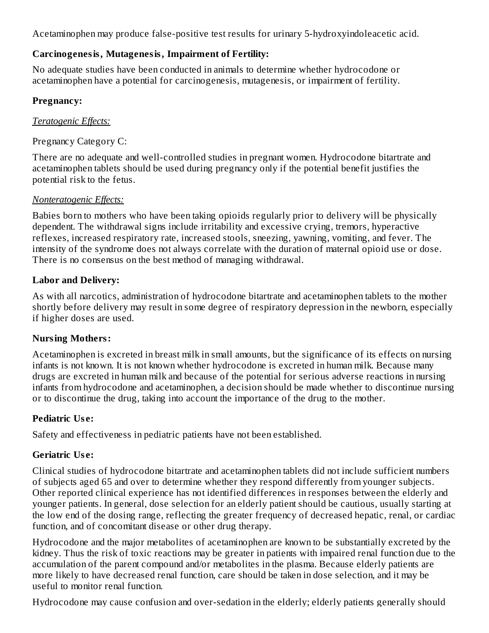Acetaminophen may produce false-positive test results for urinary 5-hydroxyindoleacetic acid.

### **Carcinogenesis, Mutagenesis, Impairment of Fertility:**

No adequate studies have been conducted in animals to determine whether hydrocodone or acetaminophen have a potential for carcinogenesis, mutagenesis, or impairment of fertility.

### **Pregnancy:**

*Teratogenic Effects:*

Pregnancy Category C:

There are no adequate and well-controlled studies in pregnant women. Hydrocodone bitartrate and acetaminophen tablets should be used during pregnancy only if the potential benefit justifies the potential risk to the fetus.

### *Nonteratogenic Effects:*

Babies born to mothers who have been taking opioids regularly prior to delivery will be physically dependent. The withdrawal signs include irritability and excessive crying, tremors, hyperactive reflexes, increased respiratory rate, increased stools, sneezing, yawning, vomiting, and fever. The intensity of the syndrome does not always correlate with the duration of maternal opioid use or dose. There is no consensus on the best method of managing withdrawal.

# **Labor and Delivery:**

As with all narcotics, administration of hydrocodone bitartrate and acetaminophen tablets to the mother shortly before delivery may result in some degree of respiratory depression in the newborn, especially if higher doses are used.

# **Nursing Mothers:**

Acetaminophen is excreted in breast milk in small amounts, but the significance of its effects on nursing infants is not known. It is not known whether hydrocodone is excreted in human milk. Because many drugs are excreted in human milk and because of the potential for serious adverse reactions in nursing infants from hydrocodone and acetaminophen, a decision should be made whether to discontinue nursing or to discontinue the drug, taking into account the importance of the drug to the mother.

# **Pediatric Us e:**

Safety and effectiveness in pediatric patients have not been established.

# **Geriatric Us e:**

Clinical studies of hydrocodone bitartrate and acetaminophen tablets did not include sufficient numbers of subjects aged 65 and over to determine whether they respond differently from younger subjects. Other reported clinical experience has not identified differences in responses between the elderly and younger patients. In general, dose selection for an elderly patient should be cautious, usually starting at the low end of the dosing range, reflecting the greater frequency of decreased hepatic, renal, or cardiac function, and of concomitant disease or other drug therapy.

Hydrocodone and the major metabolites of acetaminophen are known to be substantially excreted by the kidney. Thus the risk of toxic reactions may be greater in patients with impaired renal function due to the accumulation of the parent compound and/or metabolites in the plasma. Because elderly patients are more likely to have decreased renal function, care should be taken in dose selection, and it may be useful to monitor renal function.

Hydrocodone may cause confusion and over-sedation in the elderly; elderly patients generally should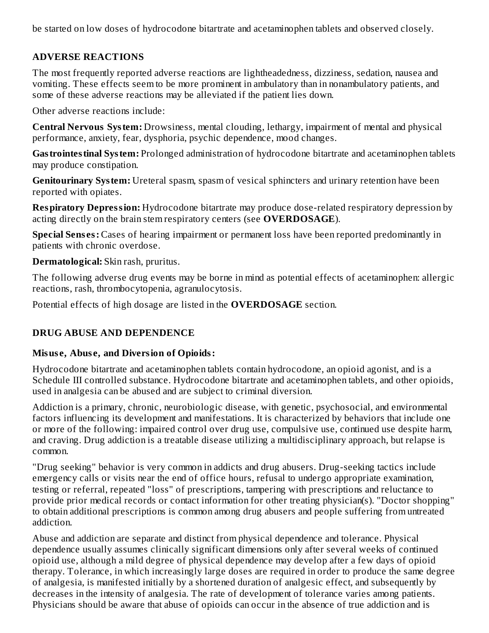be started on low doses of hydrocodone bitartrate and acetaminophen tablets and observed closely.

# **ADVERSE REACTIONS**

The most frequently reported adverse reactions are lightheadedness, dizziness, sedation, nausea and vomiting. These effects seem to be more prominent in ambulatory than in nonambulatory patients, and some of these adverse reactions may be alleviated if the patient lies down.

Other adverse reactions include:

**Central Nervous System:** Drowsiness, mental clouding, lethargy, impairment of mental and physical performance, anxiety, fear, dysphoria, psychic dependence, mood changes.

**Gastrointestinal System:** Prolonged administration of hydrocodone bitartrate and acetaminophen tablets may produce constipation.

**Genitourinary System:** Ureteral spasm, spasm of vesical sphincters and urinary retention have been reported with opiates.

**Respiratory Depression:** Hydrocodone bitartrate may produce dose-related respiratory depression by acting directly on the brain stem respiratory centers (see **OVERDOSAGE**).

**Special Senses:** Cases of hearing impairment or permanent loss have been reported predominantly in patients with chronic overdose.

**Dermatological:** Skin rash, pruritus.

The following adverse drug events may be borne in mind as potential effects of acetaminophen: allergic reactions, rash, thrombocytopenia, agranulocytosis.

Potential effects of high dosage are listed in the **OVERDOSAGE** section.

# **DRUG ABUSE AND DEPENDENCE**

### **Misus e, Abus e, and Diversion of Opioids:**

Hydrocodone bitartrate and acetaminophen tablets contain hydrocodone, an opioid agonist, and is a Schedule III controlled substance. Hydrocodone bitartrate and acetaminophen tablets, and other opioids, used in analgesia can be abused and are subject to criminal diversion.

Addiction is a primary, chronic, neurobiologic disease, with genetic, psychosocial, and environmental factors influencing its development and manifestations. It is characterized by behaviors that include one or more of the following: impaired control over drug use, compulsive use, continued use despite harm, and craving. Drug addiction is a treatable disease utilizing a multidisciplinary approach, but relapse is common.

"Drug seeking" behavior is very common in addicts and drug abusers. Drug-seeking tactics include emergency calls or visits near the end of office hours, refusal to undergo appropriate examination, testing or referral, repeated "loss" of prescriptions, tampering with prescriptions and reluctance to provide prior medical records or contact information for other treating physician(s). "Doctor shopping" to obtain additional prescriptions is common among drug abusers and people suffering from untreated addiction.

Abuse and addiction are separate and distinct from physical dependence and tolerance. Physical dependence usually assumes clinically significant dimensions only after several weeks of continued opioid use, although a mild degree of physical dependence may develop after a few days of opioid therapy. Tolerance, in which increasingly large doses are required in order to produce the same degree of analgesia, is manifested initially by a shortened duration of analgesic effect, and subsequently by decreases in the intensity of analgesia. The rate of development of tolerance varies among patients. Physicians should be aware that abuse of opioids can occur in the absence of true addiction and is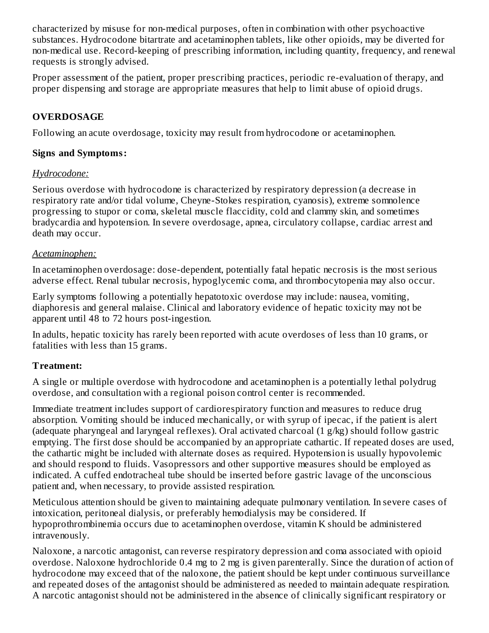characterized by misuse for non-medical purposes, often in combination with other psychoactive substances. Hydrocodone bitartrate and acetaminophen tablets, like other opioids, may be diverted for non-medical use. Record-keeping of prescribing information, including quantity, frequency, and renewal requests is strongly advised.

Proper assessment of the patient, proper prescribing practices, periodic re-evaluation of therapy, and proper dispensing and storage are appropriate measures that help to limit abuse of opioid drugs.

# **OVERDOSAGE**

Following an acute overdosage, toxicity may result from hydrocodone or acetaminophen.

### **Signs and Symptoms:**

### *Hydrocodone:*

Serious overdose with hydrocodone is characterized by respiratory depression (a decrease in respiratory rate and/or tidal volume, Cheyne-Stokes respiration, cyanosis), extreme somnolence progressing to stupor or coma, skeletal muscle flaccidity, cold and clammy skin, and sometimes bradycardia and hypotension. In severe overdosage, apnea, circulatory collapse, cardiac arrest and death may occur.

### *Acetaminophen:*

In acetaminophen overdosage: dose-dependent, potentially fatal hepatic necrosis is the most serious adverse effect. Renal tubular necrosis, hypoglycemic coma, and thrombocytopenia may also occur.

Early symptoms following a potentially hepatotoxic overdose may include: nausea, vomiting, diaphoresis and general malaise. Clinical and laboratory evidence of hepatic toxicity may not be apparent until 48 to 72 hours post-ingestion.

In adults, hepatic toxicity has rarely been reported with acute overdoses of less than 10 grams, or fatalities with less than 15 grams.

# **Treatment:**

A single or multiple overdose with hydrocodone and acetaminophen is a potentially lethal polydrug overdose, and consultation with a regional poison control center is recommended.

Immediate treatment includes support of cardiorespiratory function and measures to reduce drug absorption. Vomiting should be induced mechanically, or with syrup of ipecac, if the patient is alert (adequate pharyngeal and laryngeal reflexes). Oral activated charcoal (1 g/kg) should follow gastric emptying. The first dose should be accompanied by an appropriate cathartic. If repeated doses are used, the cathartic might be included with alternate doses as required. Hypotension is usually hypovolemic and should respond to fluids. Vasopressors and other supportive measures should be employed as indicated. A cuffed endotracheal tube should be inserted before gastric lavage of the unconscious patient and, when necessary, to provide assisted respiration.

Meticulous attention should be given to maintaining adequate pulmonary ventilation. In severe cases of intoxication, peritoneal dialysis, or preferably hemodialysis may be considered. If hypoprothrombinemia occurs due to acetaminophen overdose, vitamin K should be administered intravenously.

Naloxone, a narcotic antagonist, can reverse respiratory depression and coma associated with opioid overdose. Naloxone hydrochloride 0.4 mg to 2 mg is given parenterally. Since the duration of action of hydrocodone may exceed that of the naloxone, the patient should be kept under continuous surveillance and repeated doses of the antagonist should be administered as needed to maintain adequate respiration. A narcotic antagonist should not be administered in the absence of clinically significant respiratory or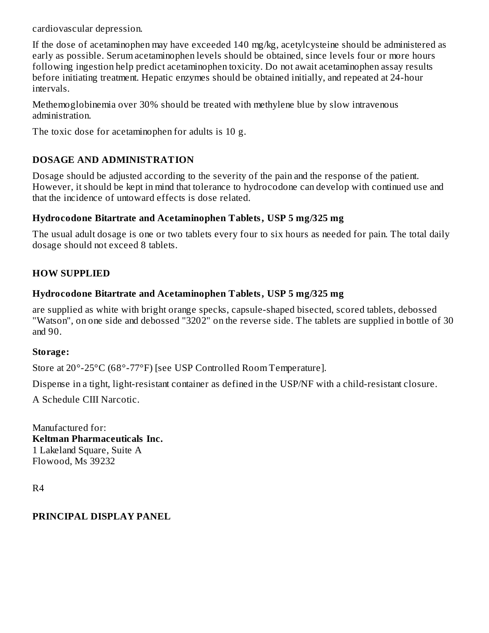cardiovascular depression.

If the dose of acetaminophen may have exceeded 140 mg/kg, acetylcysteine should be administered as early as possible. Serum acetaminophen levels should be obtained, since levels four or more hours following ingestion help predict acetaminophen toxicity. Do not await acetaminophen assay results before initiating treatment. Hepatic enzymes should be obtained initially, and repeated at 24-hour intervals.

Methemoglobinemia over 30% should be treated with methylene blue by slow intravenous administration.

The toxic dose for acetaminophen for adults is 10 g.

### **DOSAGE AND ADMINISTRATION**

Dosage should be adjusted according to the severity of the pain and the response of the patient. However, it should be kept in mind that tolerance to hydrocodone can develop with continued use and that the incidence of untoward effects is dose related.

### **Hydrocodone Bitartrate and Acetaminophen Tablets, USP 5 mg/325 mg**

The usual adult dosage is one or two tablets every four to six hours as needed for pain. The total daily dosage should not exceed 8 tablets.

### **HOW SUPPLIED**

### **Hydrocodone Bitartrate and Acetaminophen Tablets, USP 5 mg/325 mg**

are supplied as white with bright orange specks, capsule-shaped bisected, scored tablets, debossed "Watson", on one side and debossed "3202" on the reverse side. The tablets are supplied in bottle of 30 and 90.

#### **Storage:**

Store at 20°-25°C (68°-77°F) [see USP Controlled Room Temperature].

Dispense in a tight, light-resistant container as defined in the USP/NF with a child-resistant closure.

A Schedule CIII Narcotic.

Manufactured for: **Keltman Pharmaceuticals Inc.** 1 Lakeland Square, Suite A Flowood, Ms 39232

R4

### **PRINCIPAL DISPLAY PANEL**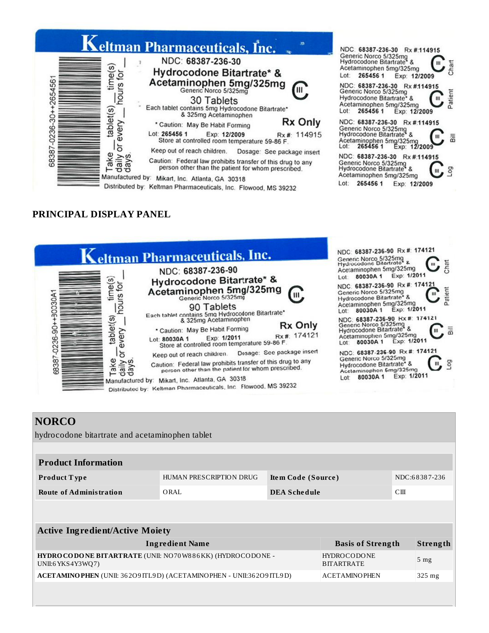

#### **PRINCIPAL DISPLAY PANEL**



### **NORCO**

hydrocodone bitartrate and acetaminophen tablet

| <b>Product Information</b>                                                     |                         |                     |                                         |               |                 |  |  |
|--------------------------------------------------------------------------------|-------------------------|---------------------|-----------------------------------------|---------------|-----------------|--|--|
| <b>Product Type</b>                                                            | HUMAN PRESCRIPTION DRUG | Item Code (Source)  |                                         | NDC:68387-236 |                 |  |  |
| <b>Route of Administration</b>                                                 | ORAL                    | <b>DEA Schedule</b> | CШ                                      |               |                 |  |  |
|                                                                                |                         |                     |                                         |               |                 |  |  |
| <b>Active Ingredient/Active Moiety</b>                                         |                         |                     |                                         |               |                 |  |  |
| <b>Ingredient Name</b>                                                         |                         |                     | <b>Basis of Strength</b>                |               | Strength        |  |  |
| HYDRO CODONE BITARTRATE (UNII: NO70W886KK) (HYDROCODONE -<br>UNII:6 YKS4Y3WQ7) |                         |                     | <b>HYDROCODONE</b><br><b>BITARTRATE</b> |               | 5 <sub>mg</sub> |  |  |

**ACETAMINOPHEN** (UNII: 36 2O9 ITL9D) (ACETAMINOPHEN - UNII:36 2O9 ITL9D) ACETAMINOPHEN 325 mg